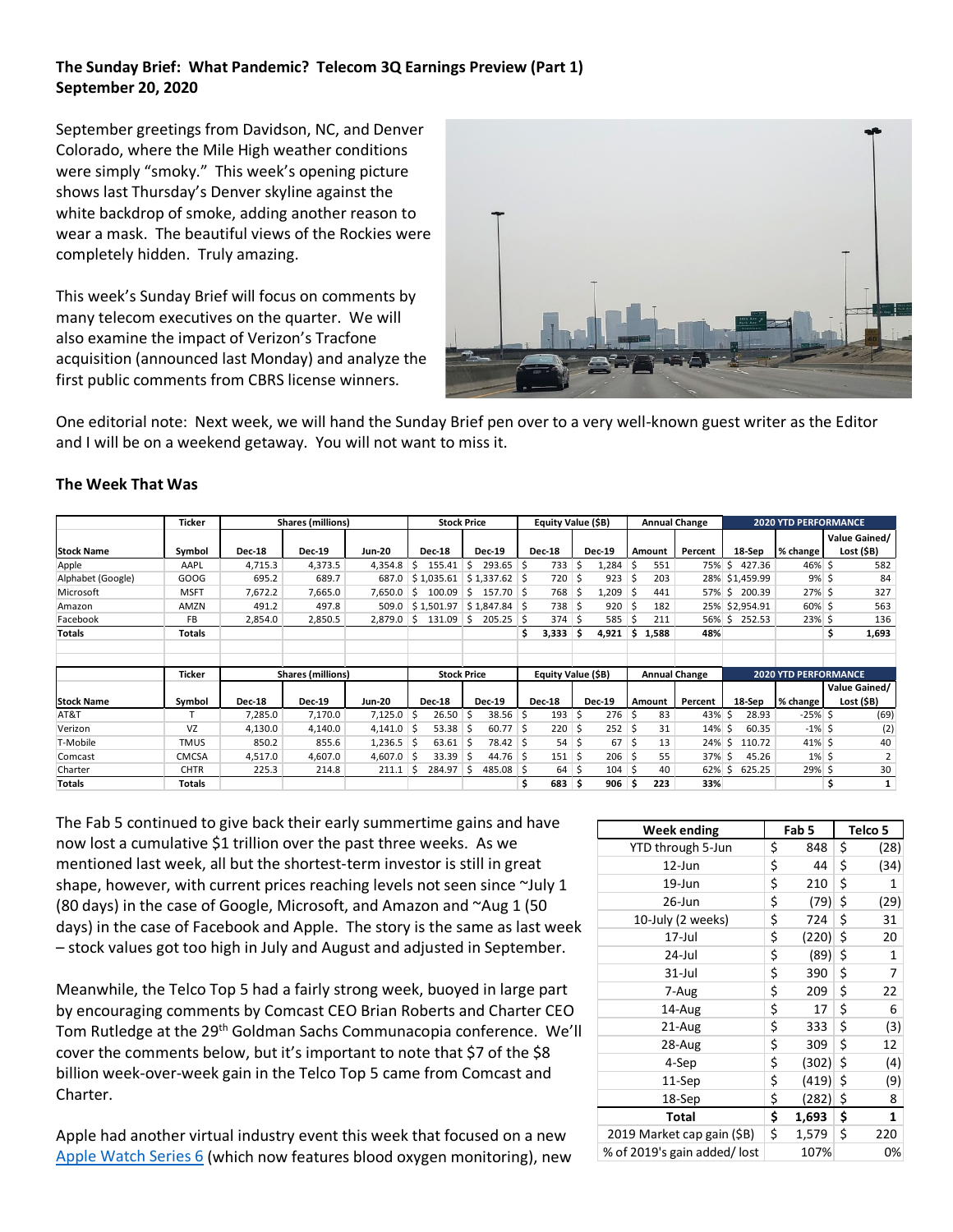## **The Sunday Brief: What Pandemic? Telecom 3Q Earnings Preview (Part 1) September 20, 2020**

September greetings from Davidson, NC, and Denver Colorado, where the Mile High weather conditions were simply "smoky." This week's opening picture shows last Thursday's Denver skyline against the white backdrop of smoke, adding another reason to wear a mask. The beautiful views of the Rockies were completely hidden. Truly amazing.

This week's Sunday Brief will focus on comments by many telecom executives on the quarter. We will also examine the impact of Verizon's Tracfone acquisition (announced last Monday) and analyze the first public comments from CBRS license winners.



One editorial note: Next week, we will hand the Sunday Brief pen over to a very well-known guest writer as the Editor and I will be on a weekend getaway. You will not want to miss it.

|                   | <b>Ticker</b> |               | <b>Shares (millions)</b> |               |                    |               | <b>Stock Price</b> |                    | Equity Value (\$B) |                                        |               |                             |        | <b>Annual Change</b> |    |                |           | <b>2020 YTD PERFORMANCE</b> |                             |  |  |
|-------------------|---------------|---------------|--------------------------|---------------|--------------------|---------------|--------------------|--------------------|--------------------|----------------------------------------|---------------|-----------------------------|--------|----------------------|----|----------------|-----------|-----------------------------|-----------------------------|--|--|
| <b>Stock Name</b> | Symbol        | <b>Dec-18</b> | <b>Dec-19</b>            | <b>Jun-20</b> |                    | <b>Dec-18</b> | <b>Dec-19</b>      |                    | <b>Dec-18</b>      |                                        | <b>Dec-19</b> |                             | Amount | Percent              |    | 18-Sep         | % change  |                             | Value Gained/<br>Lost (\$B) |  |  |
| Apple             | AAPL          | 4,715.3       | 4,373.5                  | 4,354.8       | S                  | 155.41        | $293.65$ \$<br>Ŝ.  |                    | 733                | Ŝ                                      | 1,284         |                             | 551    | 75% \$               |    | 427.36         | 46% \$    |                             | 582                         |  |  |
| Alphabet (Google) | GOOG          | 695.2         | 689.7                    | 687.0         |                    | \$1,035.61    | $$1,337.62$ \$     |                    | 720 \$             |                                        | 923           |                             | 203    |                      |    | 28% \$1,459.99 | $9\%$ \$  |                             | 84                          |  |  |
| Microsoft         | <b>MSFT</b>   | 7,672.2       | 7,665.0                  | 7.650.0       | Ŝ.                 | 100.09        | $157.70$ \$<br>Ŝ.  |                    | 768 \$             |                                        | 1,209         | .s                          | 441    | 57%                  | Ŝ. | 200.39         | 27% \$    |                             | 327                         |  |  |
| Amazon            | AMZN          | 491.2         | 497.8                    | 509.0         |                    | \$1.501.97    | $$1,847.84$ \$     |                    | $738 \mid 5$       |                                        | 920           | .s                          | 182    |                      |    | 25% \$2,954.91 | 60% \$    |                             | 563                         |  |  |
| Facebook          | <b>FB</b>     | 2,854.0       | 2,850.5                  | 2,879.0       | Ŝ.                 | 131.09        | $205.25$ \$<br>Ŝ   |                    | 374S               |                                        | 585           | -Ś                          | 211    | 56% \$               |    | 252.53         | 23% \$    |                             | 136                         |  |  |
| <b>Totals</b>     | <b>Totals</b> |               |                          |               |                    |               |                    |                    | $3,333$ \$<br>\$.  |                                        | 4,921         | \$                          | 1,588  | 48%                  |    |                |           | Ś.                          | 1,693                       |  |  |
|                   |               |               |                          |               |                    |               |                    |                    |                    |                                        |               |                             |        |                      |    |                |           |                             |                             |  |  |
|                   | <b>Ticker</b> |               | <b>Shares (millions)</b> |               | <b>Stock Price</b> |               |                    | Equity Value (\$B) |                    | <b>Annual Change</b>                   |               | <b>2020 YTD PERFORMANCE</b> |        |                      |    |                |           |                             |                             |  |  |
|                   |               |               |                          |               |                    |               |                    |                    |                    |                                        |               |                             |        |                      |    |                |           | Value Gained/               |                             |  |  |
| <b>Stock Name</b> | Symbol        | <b>Dec-18</b> | <b>Dec-19</b>            | <b>Jun-20</b> |                    | <b>Dec-18</b> | <b>Dec-19</b>      |                    | <b>Dec-18</b>      |                                        | <b>Dec-19</b> |                             | Amount | Percent              |    | 18-Sep         | % change  |                             | Lost (\$B)                  |  |  |
| AT&T              |               | 7,285.0       | 7,170.0                  | 7,125.0       | -S                 | 26.50         | S                  | $38.56$ \$         | 193                | Ŝ                                      | 276           | S                           | 83     | 43%                  | -Ś | 28.93          | -25% \$   |                             | (69)                        |  |  |
| Verizon           | VZ            | 4,130.0       | 4,140.0                  | 4,141.0       | Ŝ.                 | 53.38         |                    | $60.77$ \$         | $220 \,$ \$        |                                        | 252           |                             | 31     | 14%                  | Ŝ  | 60.35          | $-1\%$ \$ |                             | (2)                         |  |  |
| T-Mobile          | <b>TMUS</b>   | 850.2         | 855.6                    | 1,236.5       | S.                 | 63.61         |                    | 78.42 \$           |                    | $54 \overline{\smash{\big)}\smash{5}}$ | 67            |                             | 13     | 24%                  | Ś  | 110.72         | 41% \$    |                             | 40                          |  |  |
| Comcast           | CMCSA         | 4,517.0       | 4,607.0                  | 4,607.0       | -S                 | 33.39         | -S                 | $44.76$ \$         | $151 \, \text{S}$  |                                        | 206           | Ŝ.                          | 55     | 37%                  | Ŝ  | 45.26          | $1\%$ \$  |                             |                             |  |  |
| Charter           | <b>CHTR</b>   | 225.3         | 214.8                    | 211.1         | S                  | 284.97        | 485.08 \$<br>S     |                    | 64                 | S                                      | 104           |                             | 40     | 62%                  | S  | 625.25         | 29% \$    |                             | 30                          |  |  |
| <b>Totals</b>     | Totals        |               |                          |               |                    |               |                    |                    | 683                | .\$                                    | 906           | Š.                          | 223    | 33%                  |    |                |           |                             | 1                           |  |  |

## **The Week That Was**

The Fab 5 continued to give back their early summertime gains and have now lost a cumulative \$1 trillion over the past three weeks. As we mentioned last week, all but the shortest-term investor is still in great shape, however, with current prices reaching levels not seen since ~July 1 (80 days) in the case of Google, Microsoft, and Amazon and ~Aug 1 (50 days) in the case of Facebook and Apple. The story is the same as last week – stock values got too high in July and August and adjusted in September.

Meanwhile, the Telco Top 5 had a fairly strong week, buoyed in large part by encouraging comments by Comcast CEO Brian Roberts and Charter CEO Tom Rutledge at the 29<sup>th</sup> Goldman Sachs Communacopia conference. We'll cover the comments below, but it's important to note that \$7 of the \$8 billion week-over-week gain in the Telco Top 5 came from Comcast and Charter.

Apple had another virtual industry event this week that focused on a new [Apple Watch Series 6](https://www.apple.com/apple-watch-series-6/) (which now features blood oxygen monitoring), new

| Week ending                  | Fab 5       | Telco 5    |
|------------------------------|-------------|------------|
| YTD through 5-Jun            | \$<br>848   | \$<br>(28) |
| 12-Jun                       | \$<br>44    | \$<br>(34) |
| 19-Jun                       | \$<br>210   | \$<br>1    |
| 26-Jun                       | \$<br>(79)  | \$<br>(29) |
| 10-July (2 weeks)            | \$<br>724   | \$<br>31   |
| 17-Jul                       | \$<br>(220) | \$<br>20   |
| 24-Jul                       | \$<br>(89)  | \$<br>1    |
| $31$ -Jul                    | \$<br>390   | \$<br>7    |
| 7-Aug                        | \$<br>209   | \$<br>22   |
| 14-Aug                       | \$<br>17    | \$<br>6    |
| 21-Aug                       | \$<br>333   | \$<br>(3)  |
| 28-Aug                       | \$<br>309   | \$<br>12   |
| 4-Sep                        | \$<br>(302) | \$<br>(4)  |
| 11-Sep                       | \$<br>(419) | \$<br>(9)  |
| 18-Sep                       | \$<br>(282) | \$<br>8    |
| <b>Total</b>                 | \$<br>1,693 | \$<br>1    |
| 2019 Market cap gain (\$B)   | \$<br>1,579 | \$<br>220  |
| % of 2019's gain added/ lost | 107%        | 0%         |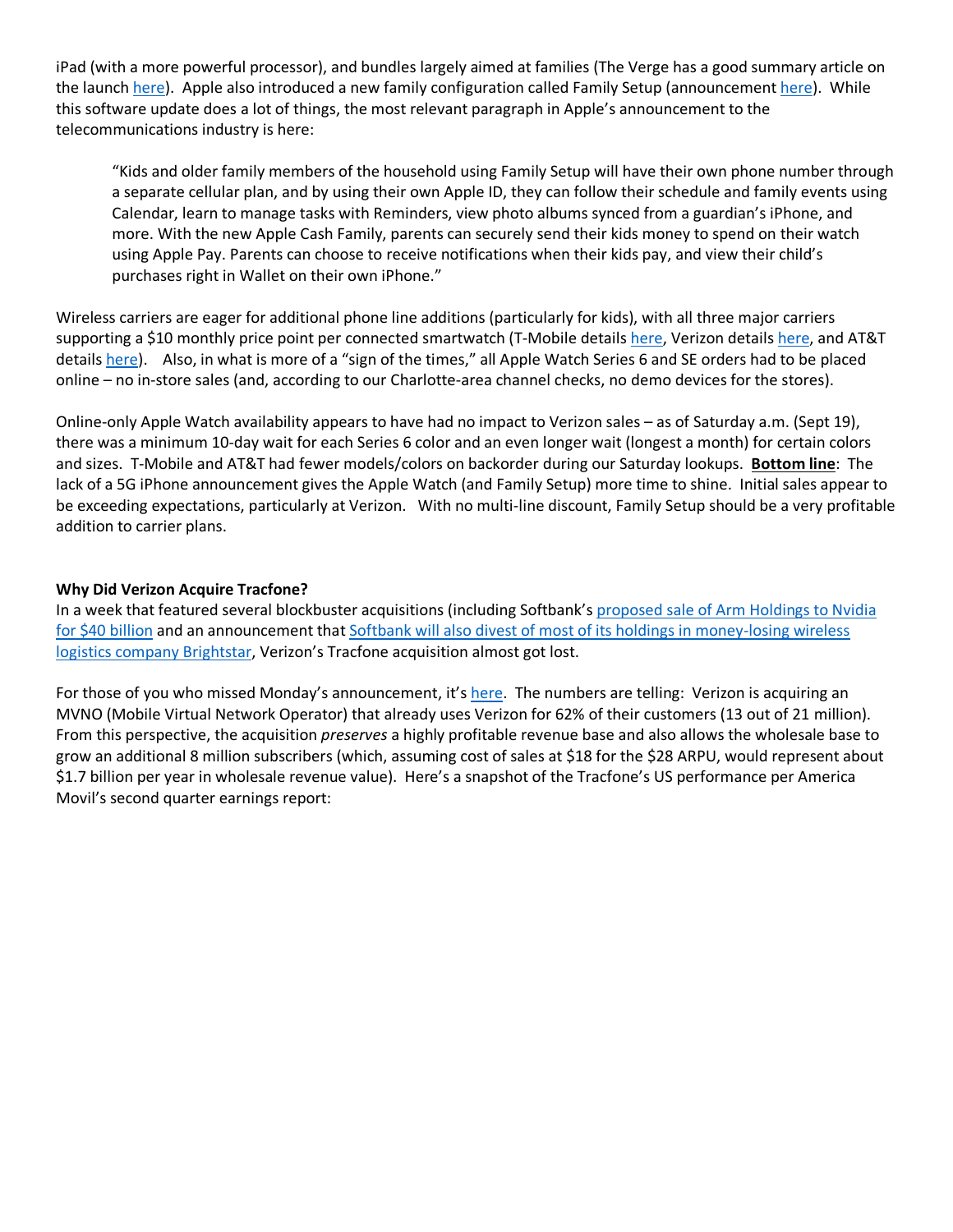iPad (with a more powerful processor), and bundles largely aimed at families (The Verge has a good summary article on the launc[h here\)](https://www.theverge.com/2020/9/15/21430844/apple-event-recap-biggest-announcements-watch-series-6-se-ipad-air). Apple also introduced a new family configuration called Family Setup (announcement [here\)](https://www.apple.com/newsroom/2020/09/apple-extends-the-apple-watch-experience-to-the-entire-family/#:%7E:text=Family%20Setup%20will%20be%20available,or%20later%20running%20iOS%2014.). While this software update does a lot of things, the most relevant paragraph in Apple's announcement to the telecommunications industry is here:

"Kids and older family members of the household using Family Setup will have their own phone number through a separate cellular plan, and by using their own Apple ID, they can follow their schedule and family events using Calendar, learn to manage tasks with Reminders, view photo albums synced from a guardian's iPhone, and more. With the new Apple Cash Family, parents can securely send their kids money to spend on their watch using Apple Pay. Parents can choose to receive notifications when their kids pay, and view their child's purchases right in Wallet on their own iPhone."

Wireless carriers are eager for additional phone line additions (particularly for kids), with all three major carriers supporting a \$10 monthly price point per connected smartwatch (T-Mobile details [here,](https://investor.t-mobile.com/news-and-events/t-mobile-us-press-releases/press-release-details/2020/Available-at-T-Mobile-New-Apple-Watch-Series-6-Apple-Watch-SE-and-iPad-8th-generation-with-iPad-Air-Coming-Soon/default.aspx) Verizon detail[s here,](https://www.verizon.com/about/news/verizon-plans-unlimited-plus) and AT&T details [here\)](https://about.att.com/story/2020/apple_ipad_watch.html). Also, in what is more of a "sign of the times," all Apple Watch Series 6 and SE orders had to be placed online – no in-store sales (and, according to our Charlotte-area channel checks, no demo devices for the stores).

Online-only Apple Watch availability appears to have had no impact to Verizon sales – as of Saturday a.m. (Sept 19), there was a minimum 10-day wait for each Series 6 color and an even longer wait (longest a month) for certain colors and sizes. T-Mobile and AT&T had fewer models/colors on backorder during our Saturday lookups. **Bottom line**: The lack of a 5G iPhone announcement gives the Apple Watch (and Family Setup) more time to shine. Initial sales appear to be exceeding expectations, particularly at Verizon. With no multi-line discount, Family Setup should be a very profitable addition to carrier plans.

## **Why Did Verizon Acquire Tracfone?**

In a week that featured several blockbuster acquisitions (including Softbank'[s proposed sale of Arm Holdings](https://www.cnbc.com/2020/09/14/nvidia-to-buy-arm-holdings-from-softbank-for-40-billion.html) to Nvidia [for \\$40 billion](https://www.cnbc.com/2020/09/14/nvidia-to-buy-arm-holdings-from-softbank-for-40-billion.html) and an announcement that [Softbank will also divest of most of its holdings in money-losing wireless](https://www.wsj.com/articles/softbank-sells-brightstar-carrying-on-its-divestiture-spree-11600410882)  [logistics company Brightstar,](https://www.wsj.com/articles/softbank-sells-brightstar-carrying-on-its-divestiture-spree-11600410882) Verizon's Tracfone acquisition almost got lost.

For those of you who missed Monday's announcement, it'[s here.](https://www.globenewswire.com/news-release/2020/09/14/2092937/0/en/Verizon-to-acquire-Tracfone.html) The numbers are telling: Verizon is acquiring an MVNO (Mobile Virtual Network Operator) that already uses Verizon for 62% of their customers (13 out of 21 million). From this perspective, the acquisition *preserves* a highly profitable revenue base and also allows the wholesale base to grow an additional 8 million subscribers (which, assuming cost of sales at \$18 for the \$28 ARPU, would represent about \$1.7 billion per year in wholesale revenue value). Here's a snapshot of the Tracfone's US performance per America Movil's second quarter earnings report: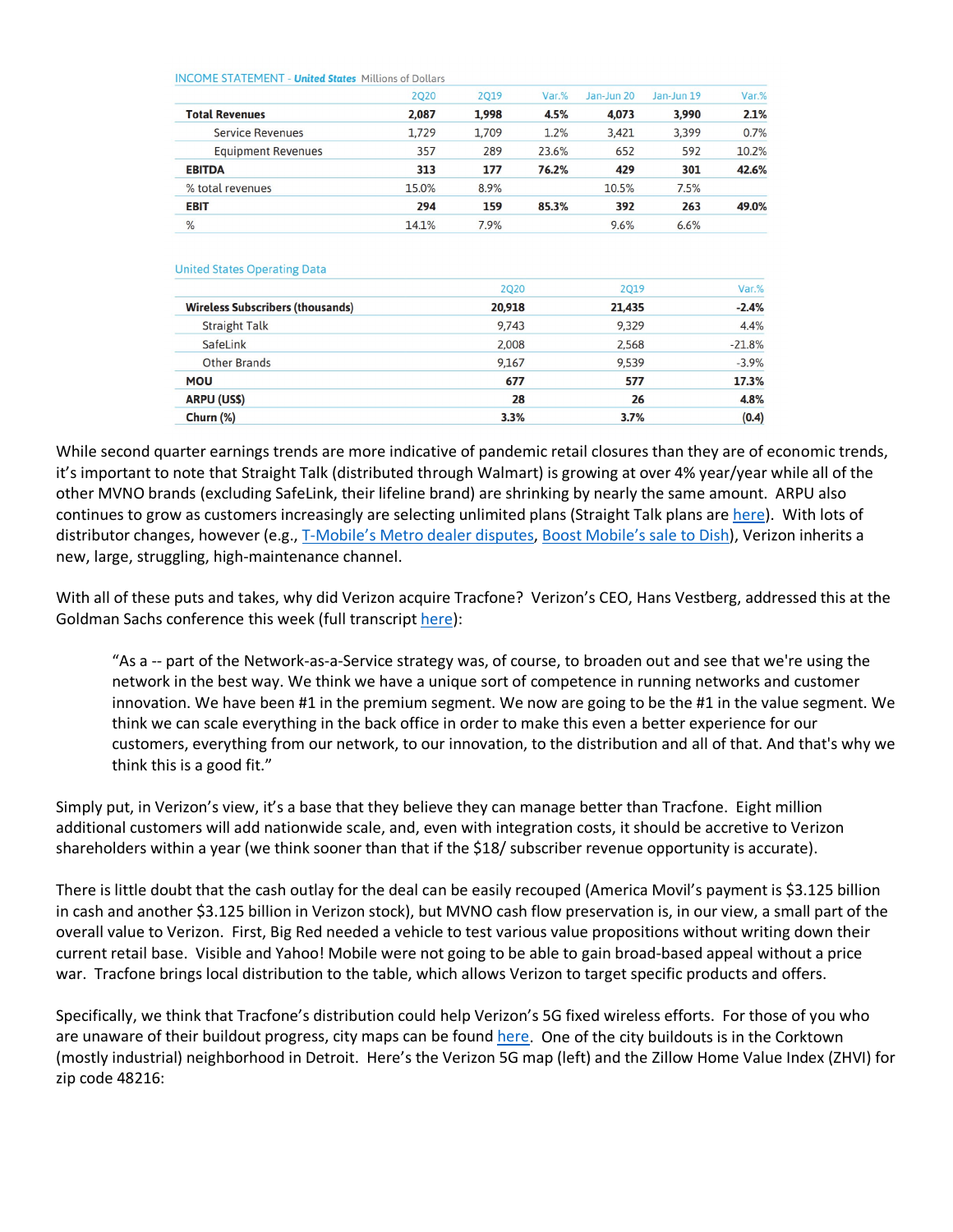| <b>INCOPIE 3TATEMENT - UNITED</b> | PIILLIONS OF DOLLATS |       |       |            |            |       |
|-----------------------------------|----------------------|-------|-------|------------|------------|-------|
|                                   | 2020                 | 2019  | Var.% | Jan-Jun 20 | Jan-Jun 19 | Var.% |
| <b>Total Revenues</b>             | 2,087                | 1.998 | 4.5%  | 4.073      | 3,990      | 2.1%  |
| <b>Service Revenues</b>           | 1,729                | 1.709 | 1.2%  | 3,421      | 3,399      | 0.7%  |
| <b>Equipment Revenues</b>         | 357                  | 289   | 23.6% | 652        | 592        | 10.2% |
| <b>EBITDA</b>                     | 313                  | 177   | 76.2% | 429        | 301        | 42.6% |
| % total revenues                  | 15.0%                | 8.9%  |       | 10.5%      | 7.5%       |       |
| <b>EBIT</b>                       | 294                  | 159   | 85.3% | 392        | 263        | 49.0% |
| $\frac{0}{2}$                     | 14.1%                | 7.9%  |       | 9.6%       | 6.6%       |       |

**United States Operating Data** 

INCOME CTATEMENT Heited Chates Millions of Dollars

|                                         | <b>2Q20</b> | <b>2Q19</b> | Var.%    |
|-----------------------------------------|-------------|-------------|----------|
| <b>Wireless Subscribers (thousands)</b> | 20,918      | 21,435      | $-2.4%$  |
| <b>Straight Talk</b>                    | 9.743       | 9.329       | 4.4%     |
| SafeLink                                | 2,008       | 2,568       | $-21.8%$ |
| <b>Other Brands</b>                     | 9,167       | 9,539       | $-3.9%$  |
| <b>MOU</b>                              | 677         | 577         | 17.3%    |
| <b>ARPU (US\$)</b>                      | 28          | 26          | 4.8%     |
| Churn (%)                               | 3.3%        | 3.7%        | (0.4)    |

While second quarter earnings trends are more indicative of pandemic retail closures than they are of economic trends, it's important to note that Straight Talk (distributed through Walmart) is growing at over 4% year/year while all of the other MVNO brands (excluding SafeLink, their lifeline brand) are shrinking by nearly the same amount. ARPU also continues to grow as customers increasingly are selecting unlimited plans (Straight Talk plans are [here\)](https://www.straighttalk.com/wps/portal/home/shop/serviceplans). With lots of distributor changes, however (e.g., [T-Mobile's Metro dealer disputes,](https://www.fiercewireless.com/operators/metro-dealers-accuse-t-mobile-trying-to-poach-customers) [Boost Mobile's sale to Dish\)](https://bestmvno.com/boost-mobile/dish-now-owns-boost-mobile-and-wireless-plan-changes-are-being-made/), Verizon inherits a new, large, struggling, high-maintenance channel.

With all of these puts and takes, why did Verizon acquire Tracfone? Verizon's CEO, Hans Vestberg, addressed this at the Goldman Sachs conference this week (full transcrip[t here\)](https://www.verizon.com/about/sites/default/files/2020-09/GoldmanSachsConf-Transcript-091520.pdf):

"As a -- part of the Network-as-a-Service strategy was, of course, to broaden out and see that we're using the network in the best way. We think we have a unique sort of competence in running networks and customer innovation. We have been #1 in the premium segment. We now are going to be the #1 in the value segment. We think we can scale everything in the back office in order to make this even a better experience for our customers, everything from our network, to our innovation, to the distribution and all of that. And that's why we think this is a good fit."

Simply put, in Verizon's view, it's a base that they believe they can manage better than Tracfone. Eight million additional customers will add nationwide scale, and, even with integration costs, it should be accretive to Verizon shareholders within a year (we think sooner than that if the \$18/ subscriber revenue opportunity is accurate).

There is little doubt that the cash outlay for the deal can be easily recouped (America Movil's payment is \$3.125 billion in cash and another \$3.125 billion in Verizon stock), but MVNO cash flow preservation is, in our view, a small part of the overall value to Verizon. First, Big Red needed a vehicle to test various value propositions without writing down their current retail base. Visible and Yahoo! Mobile were not going to be able to gain broad-based appeal without a price war. Tracfone brings local distribution to the table, which allows Verizon to target specific products and offers.

Specifically, we think that Tracfone's distribution could help Verizon's 5G fixed wireless efforts. For those of you who are unaware of their buildout progress, city maps can be found [here.](https://www.verizon.com/5g/coverage-map/?city=detroit) One of the city buildouts is in the Corktown (mostly industrial) neighborhood in Detroit. Here's the Verizon 5G map (left) and the Zillow Home Value Index (ZHVI) for zip code 48216: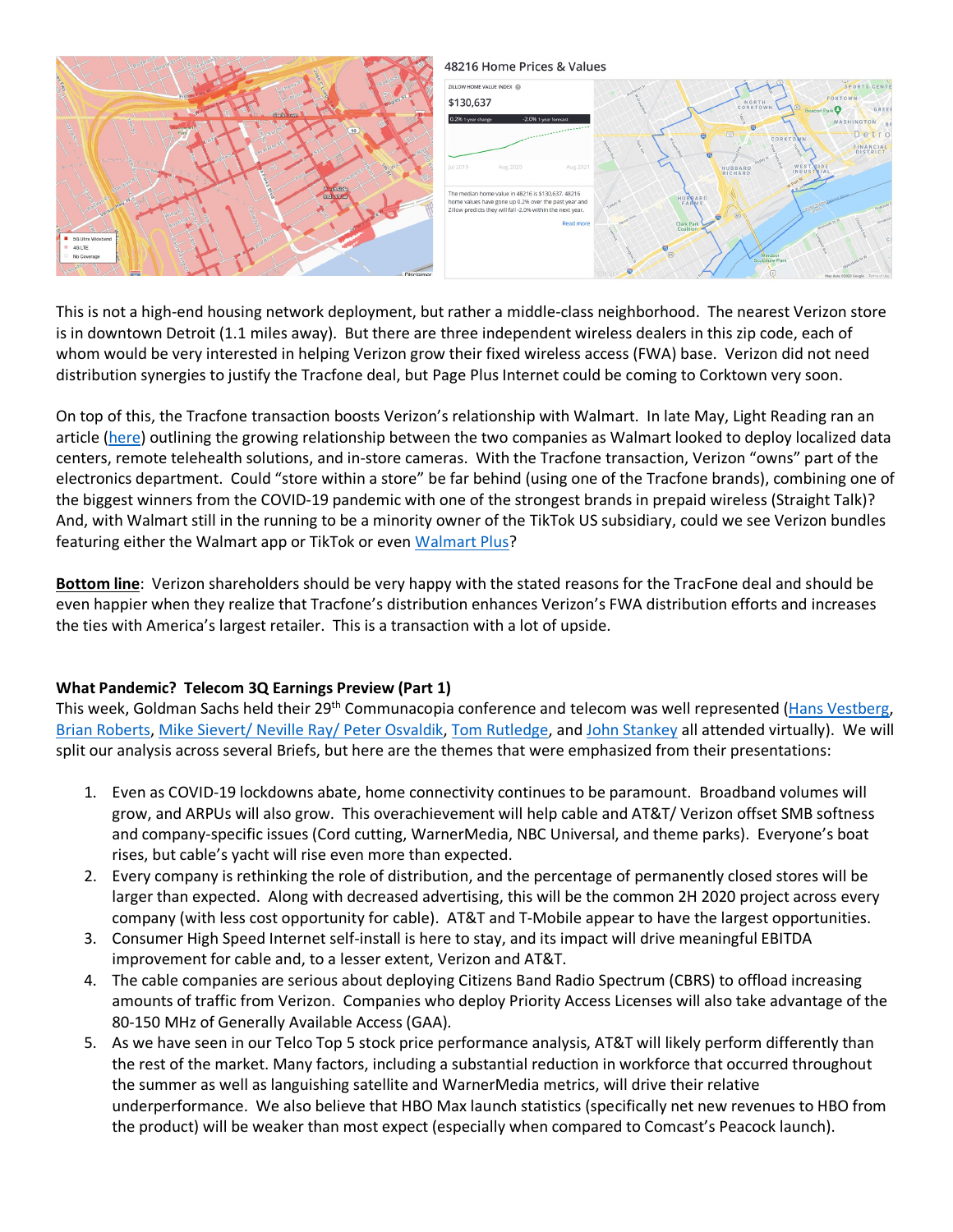

This is not a high-end housing network deployment, but rather a middle-class neighborhood. The nearest Verizon store is in downtown Detroit (1.1 miles away). But there are three independent wireless dealers in this zip code, each of whom would be very interested in helping Verizon grow their fixed wireless access (FWA) base. Verizon did not need distribution synergies to justify the Tracfone deal, but Page Plus Internet could be coming to Corktown very soon.

On top of this, the Tracfone transaction boosts Verizon's relationship with Walmart. In late May, Light Reading ran an article [\(here\)](https://www.lightreading.com/the-edge/emerging-verizon-walmart-5g-deal-covers-edge-computing-too/a/d-id/759979) outlining the growing relationship between the two companies as Walmart looked to deploy localized data centers, remote telehealth solutions, and in-store cameras. With the Tracfone transaction, Verizon "owns" part of the electronics department. Could "store within a store" be far behind (using one of the Tracfone brands), combining one of the biggest winners from the COVID-19 pandemic with one of the strongest brands in prepaid wireless (Straight Talk)? And, with Walmart still in the running to be a minority owner of the TikTok US subsidiary, could we see Verizon bundles featuring either the Walmart app or TikTok or even [Walmart Plus?](https://www.engadget.com/walmart-plus-launch-subscription-details-price-123003235.html)

**Bottom line**: Verizon shareholders should be very happy with the stated reasons for the TracFone deal and should be even happier when they realize that Tracfone's distribution enhances Verizon's FWA distribution efforts and increases the ties with America's largest retailer. This is a transaction with a lot of upside.

## **What Pandemic? Telecom 3Q Earnings Preview (Part 1)**

This week, Goldman Sachs held their 29<sup>th</sup> Communacopia conference and telecom was well represented [\(Hans Vestberg,](https://www.verizon.com/about/sites/default/files/2020-09/GoldmanSachsConf-Transcript-091520.pdf) [Brian Roberts,](https://www.cmcsa.com/events/event-details/goldman-sachs-investor-conference-2) [Mike Sievert/ Neville Ray/ Peter Osvaldik,](https://investor.t-mobile.com/news-and-events/events-and-presentations/event-details/2020/Goldman-Sachs-29th-Annual-Communacopia-Conference/default.aspx) [Tom Rutledge,](https://ir.charter.com/investor-overview) and [John Stankey](https://investors.att.com/news-and-events/events-and-presentations) all attended virtually). We will split our analysis across several Briefs, but here are the themes that were emphasized from their presentations:

- 1. Even as COVID-19 lockdowns abate, home connectivity continues to be paramount. Broadband volumes will grow, and ARPUs will also grow. This overachievement will help cable and AT&T/ Verizon offset SMB softness and company-specific issues (Cord cutting, WarnerMedia, NBC Universal, and theme parks). Everyone's boat rises, but cable's yacht will rise even more than expected.
- 2. Every company is rethinking the role of distribution, and the percentage of permanently closed stores will be larger than expected. Along with decreased advertising, this will be the common 2H 2020 project across every company (with less cost opportunity for cable). AT&T and T-Mobile appear to have the largest opportunities.
- 3. Consumer High Speed Internet self-install is here to stay, and its impact will drive meaningful EBITDA improvement for cable and, to a lesser extent, Verizon and AT&T.
- 4. The cable companies are serious about deploying Citizens Band Radio Spectrum (CBRS) to offload increasing amounts of traffic from Verizon. Companies who deploy Priority Access Licenses will also take advantage of the 80-150 MHz of Generally Available Access (GAA).
- 5. As we have seen in our Telco Top 5 stock price performance analysis, AT&T will likely perform differently than the rest of the market. Many factors, including a substantial reduction in workforce that occurred throughout the summer as well as languishing satellite and WarnerMedia metrics, will drive their relative underperformance. We also believe that HBO Max launch statistics (specifically net new revenues to HBO from the product) will be weaker than most expect (especially when compared to Comcast's Peacock launch).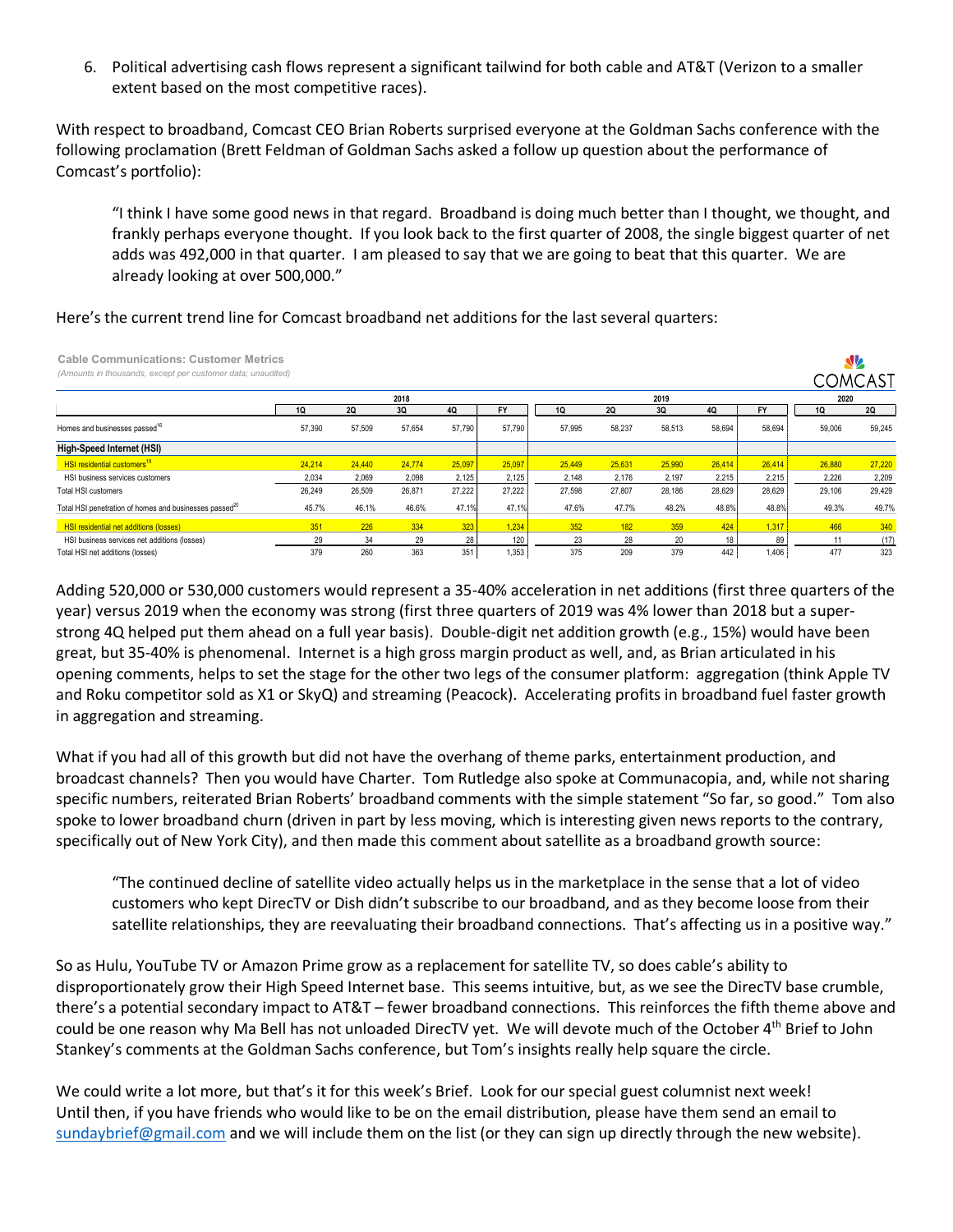6. Political advertising cash flows represent a significant tailwind for both cable and AT&T (Verizon to a smaller extent based on the most competitive races).

With respect to broadband, Comcast CEO Brian Roberts surprised everyone at the Goldman Sachs conference with the following proclamation (Brett Feldman of Goldman Sachs asked a follow up question about the performance of Comcast's portfolio):

"I think I have some good news in that regard. Broadband is doing much better than I thought, we thought, and frankly perhaps everyone thought. If you look back to the first quarter of 2008, the single biggest quarter of net adds was 492,000 in that quarter. I am pleased to say that we are going to beat that this quarter. We are already looking at over 500,000."

| Here's the current trend line for Comcast broadband net additions for the last several quarters: |
|--------------------------------------------------------------------------------------------------|
|--------------------------------------------------------------------------------------------------|

| <b>Cable Communications: Customer Metrics</b><br>(Amounts in thousands, except per customer data; unaudited) |        |           |        |           |           |           |           |        |           |           |           | <b>SV</b><br><b>COMCAST</b> |
|--------------------------------------------------------------------------------------------------------------|--------|-----------|--------|-----------|-----------|-----------|-----------|--------|-----------|-----------|-----------|-----------------------------|
|                                                                                                              |        |           | 2018   |           |           |           |           | 2019   |           |           | 2020      |                             |
|                                                                                                              | 1Q     | <b>2Q</b> | 3Q     | <b>4Q</b> | <b>FY</b> | <b>1Q</b> | <b>2Q</b> | 3Q     | <b>4Q</b> | <b>FY</b> | <b>1Q</b> | <b>2Q</b>                   |
| Homes and businesses passed <sup>16</sup>                                                                    | 57,390 | 57,509    | 57,654 | 57,790    | 57.790    | 57,995    | 58,237    | 58,513 | 58,694    | 58,694    | 59,006    | 59,245                      |
| High-Speed Internet (HSI)                                                                                    |        |           |        |           |           |           |           |        |           |           |           |                             |
| <b>HSI residential customers<sup>19</sup></b>                                                                | 24.214 | 24,440    | 24,774 | 25,097    | 25,097    | 25.449    | 25,631    | 25,990 | 26,414    | 26,414    | 26,880    | 27,220                      |
| HSI business services customers                                                                              | 2,034  | 2,069     | 2,098  | 2,125     | 2,125     | 2.148     | 2,176     | 2.197  | 2,215     | 2,215     | 2.226     | 2,209                       |
| <b>Total HSI customers</b>                                                                                   | 26,249 | 26,509    | 26,871 | 27,222    | 27.222    | 27.598    | 27,807    | 28.186 | 28,629    | 28,629    | 29,106    | 29,429                      |
| Total HSI penetration of homes and businesses passed <sup>20</sup>                                           | 45.7%  | 46.1%     | 46.6%  | 47.1%     | 47.1%     | 47.6%     | 47.7%     | 48.2%  | 48.8%     | 48.8%     | 49.3%     | 49.7%                       |
| <b>HSI residential net additions (losses)</b>                                                                | 351    | 226       | 334    | 323       | 1,234     | 352       | 182       | 359    | 424       | 1,317     | 466       | 340                         |
| HSI business services net additions (losses)                                                                 | 29     | 34        | 29     | 28        | 120       | 23        | 28        | 20     | 18        | 89        | 11        | (17)                        |
| Total HSI net additions (losses)                                                                             | 379    | 260       | 363    | 351       | 1.353     | 375       | 209       | 379    | 442       | 1,406     | 477       | 323                         |

Adding 520,000 or 530,000 customers would represent a 35-40% acceleration in net additions (first three quarters of the year) versus 2019 when the economy was strong (first three quarters of 2019 was 4% lower than 2018 but a superstrong 4Q helped put them ahead on a full year basis). Double-digit net addition growth (e.g., 15%) would have been great, but 35-40% is phenomenal. Internet is a high gross margin product as well, and, as Brian articulated in his opening comments, helps to set the stage for the other two legs of the consumer platform: aggregation (think Apple TV and Roku competitor sold as X1 or SkyQ) and streaming (Peacock). Accelerating profits in broadband fuel faster growth in aggregation and streaming.

What if you had all of this growth but did not have the overhang of theme parks, entertainment production, and broadcast channels? Then you would have Charter. Tom Rutledge also spoke at Communacopia, and, while not sharing specific numbers, reiterated Brian Roberts' broadband comments with the simple statement "So far, so good." Tom also spoke to lower broadband churn (driven in part by less moving, which is interesting given news reports to the contrary, specifically out of New York City), and then made this comment about satellite as a broadband growth source:

"The continued decline of satellite video actually helps us in the marketplace in the sense that a lot of video customers who kept DirecTV or Dish didn't subscribe to our broadband, and as they become loose from their satellite relationships, they are reevaluating their broadband connections. That's affecting us in a positive way."

So as Hulu, YouTube TV or Amazon Prime grow as a replacement for satellite TV, so does cable's ability to disproportionately grow their High Speed Internet base. This seems intuitive, but, as we see the DirecTV base crumble, there's a potential secondary impact to AT&T – fewer broadband connections. This reinforces the fifth theme above and could be one reason why Ma Bell has not unloaded DirecTV yet. We will devote much of the October 4<sup>th</sup> Brief to John Stankey's comments at the Goldman Sachs conference, but Tom's insights really help square the circle.

We could write a lot more, but that's it for this week's Brief. Look for our special guest columnist next week! Until then, if you have friends who would like to be on the email distribution, please have them send an email to [sundaybrief@gmail.com](mailto:sundaybrief@gmail.com) and we will include them on the list (or they can sign up directly through the new website).